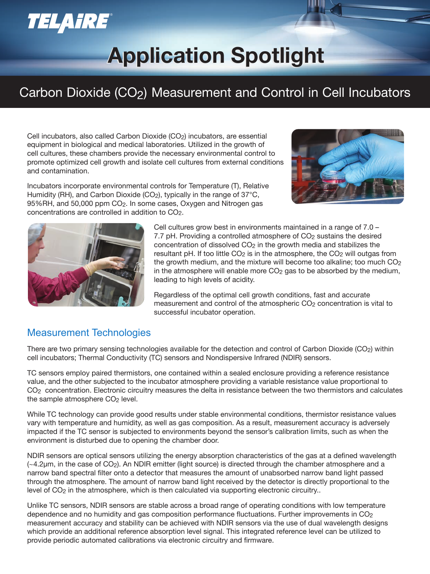# TELAIRE®

# **Application Spotlight Application Spotlight**

## Carbon Dioxide (CO<sub>2</sub>) Measurement and Control in Cell Incubators

Cell incubators, also called Carbon Dioxide (CO<sub>2</sub>) incubators, are essential equipment in biological and medical laboratories. Utilized in the growth of cell cultures, these chambers provide the necessary environmental control to promote optimized cell growth and isolate cell cultures from external conditions and contamination.

Incubators incorporate environmental controls for Temperature (T), Relative Humidity (RH), and Carbon Dioxide (CO<sub>2</sub>), typically in the range of 37 $\mathrm{°C}$ , 95%RH, and 50,000 ppm CO<sub>2</sub>. In some cases, Oxygen and Nitrogen gas concentrations are controlled in addition to CO2.





Cell cultures grow best in environments maintained in a range of 7.0 – 7.7 pH. Providing a controlled atmosphere of  $CO<sub>2</sub>$  sustains the desired concentration of dissolved  $CO<sub>2</sub>$  in the growth media and stabilizes the resultant pH. If too little  $CO<sub>2</sub>$  is in the atmosphere, the  $CO<sub>2</sub>$  will outgas from the growth medium, and the mixture will become too alkaline; too much CO<sub>2</sub> in the atmosphere will enable more CO<sub>2</sub> gas to be absorbed by the medium, leading to high levels of acidity.

Regardless of the optimal cell growth conditions, fast and accurate measurement and control of the atmospheric CO<sub>2</sub> concentration is vital to successful incubator operation.

#### Measurement Technologies

There are two primary sensing technologies available for the detection and control of Carbon Dioxide (CO2) within cell incubators; Thermal Conductivity (TC) sensors and Nondispersive Infrared (NDIR) sensors.

TC sensors employ paired thermistors, one contained within a sealed enclosure providing a reference resistance value, and the other subjected to the incubator atmosphere providing a variable resistance value proportional to CO<sub>2</sub> concentration. Electronic circuitry measures the delta in resistance between the two thermistors and calculates the sample atmosphere  $CO<sub>2</sub>$  level.

While TC technology can provide good results under stable environmental conditions, thermistor resistance values vary with temperature and humidity, as well as gas composition. As a result, measurement accuracy is adversely impacted if the TC sensor is subjected to environments beyond the sensor's calibration limits, such as when the environment is disturbed due to opening the chamber door.

NDIR sensors are optical sensors utilizing the energy absorption characteristics of the gas at a defined wavelength  $\sim$ 4.2 $\mu$ m, in the case of CO<sub>2</sub>). An NDIR emitter (light source) is directed through the chamber atmosphere and a narrow band spectral filter onto a detector that measures the amount of unabsorbed narrow band light passed through the atmosphere. The amount of narrow band light received by the detector is directly proportional to the level of CO<sub>2</sub> in the atmosphere, which is then calculated via supporting electronic circuitry..

Unlike TC sensors, NDIR sensors are stable across a broad range of operating conditions with low temperature dependence and no humidity and gas composition performance fluctuations. Further improvements in  $CO<sub>2</sub>$ measurement accuracy and stability can be achieved with NDIR sensors via the use of dual wavelength designs which provide an additional reference absorption level signal. This integrated reference level can be utilized to provide periodic automated calibrations via electronic circuitry and firmware.